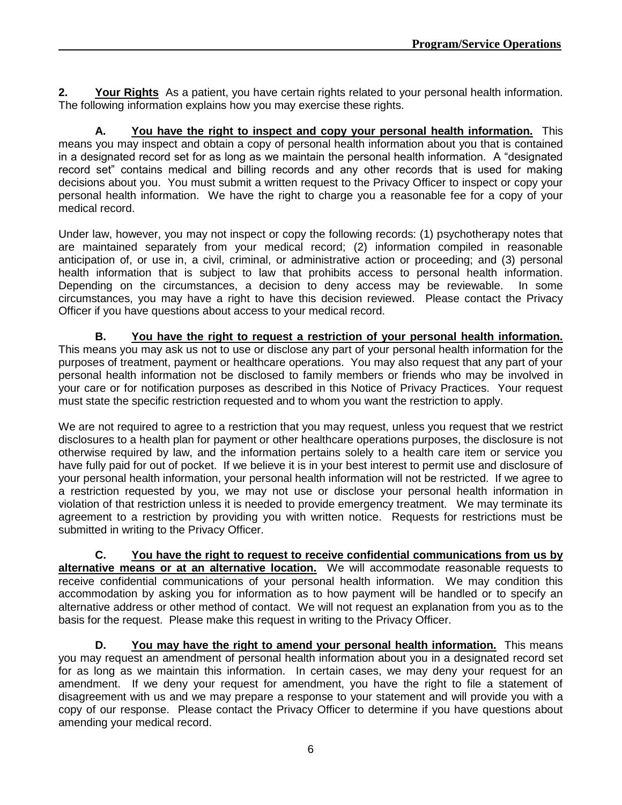**2. Your Rights** As a patient, you have certain rights related to your personal health information. The following information explains how you may exercise these rights.

**A. You have the right to inspect and copy your personal health information.** This means you may inspect and obtain a copy of personal health information about you that is contained in a designated record set for as long as we maintain the personal health information. A "designated record set" contains medical and billing records and any other records that is used for making decisions about you. You must submit a written request to the Privacy Officer to inspect or copy your personal health information. We have the right to charge you a reasonable fee for a copy of your medical record.

Under law, however, you may not inspect or copy the following records: (1) psychotherapy notes that are maintained separately from your medical record; (2) information compiled in reasonable anticipation of, or use in, a civil, criminal, or administrative action or proceeding; and (3) personal health information that is subject to law that prohibits access to personal health information. Depending on the circumstances, a decision to deny access may be reviewable. In some circumstances, you may have a right to have this decision reviewed. Please contact the Privacy Officer if you have questions about access to your medical record.

**B. You have the right to request a restriction of your personal health information.** This means you may ask us not to use or disclose any part of your personal health information for the purposes of treatment, payment or healthcare operations. You may also request that any part of your personal health information not be disclosed to family members or friends who may be involved in your care or for notification purposes as described in this Notice of Privacy Practices. Your request must state the specific restriction requested and to whom you want the restriction to apply.

We are not required to agree to a restriction that you may request, unless you request that we restrict disclosures to a health plan for payment or other healthcare operations purposes, the disclosure is not otherwise required by law, and the information pertains solely to a health care item or service you have fully paid for out of pocket. If we believe it is in your best interest to permit use and disclosure of your personal health information, your personal health information will not be restricted. If we agree to a restriction requested by you, we may not use or disclose your personal health information in violation of that restriction unless it is needed to provide emergency treatment. We may terminate its agreement to a restriction by providing you with written notice. Requests for restrictions must be submitted in writing to the Privacy Officer.

**C. You have the right to request to receive confidential communications from us by alternative means or at an alternative location.** We will accommodate reasonable requests to receive confidential communications of your personal health information. We may condition this accommodation by asking you for information as to how payment will be handled or to specify an alternative address or other method of contact. We will not request an explanation from you as to the basis for the request. Please make this request in writing to the Privacy Officer.

**D. You may have the right to amend your personal health information.** This means you may request an amendment of personal health information about you in a designated record set for as long as we maintain this information. In certain cases, we may deny your request for an amendment. If we deny your request for amendment, you have the right to file a statement of disagreement with us and we may prepare a response to your statement and will provide you with a copy of our response. Please contact the Privacy Officer to determine if you have questions about amending your medical record.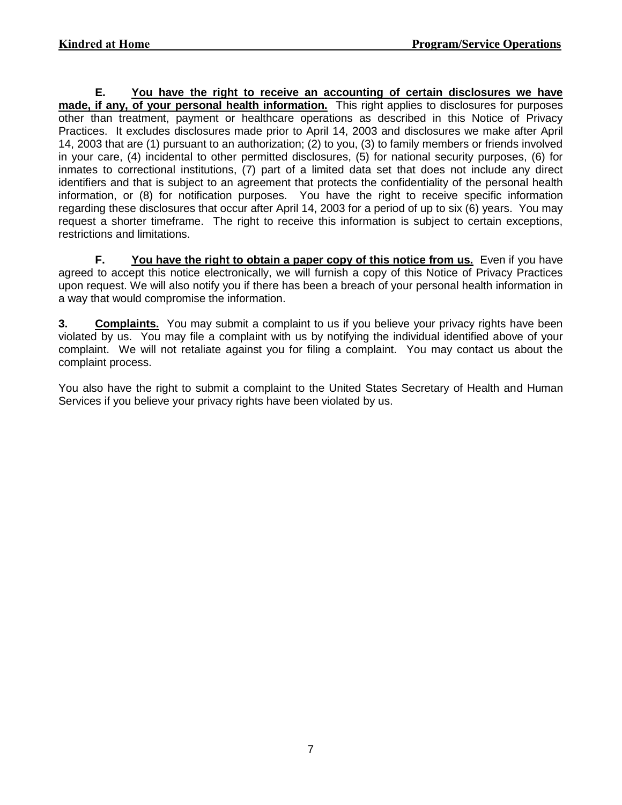**E. You have the right to receive an accounting of certain disclosures we have made, if any, of your personal health information.** This right applies to disclosures for purposes other than treatment, payment or healthcare operations as described in this Notice of Privacy Practices. It excludes disclosures made prior to April 14, 2003 and disclosures we make after April 14, 2003 that are (1) pursuant to an authorization; (2) to you, (3) to family members or friends involved in your care, (4) incidental to other permitted disclosures, (5) for national security purposes, (6) for inmates to correctional institutions, (7) part of a limited data set that does not include any direct identifiers and that is subject to an agreement that protects the confidentiality of the personal health information, or (8) for notification purposes. You have the right to receive specific information regarding these disclosures that occur after April 14, 2003 for a period of up to six (6) years. You may request a shorter timeframe. The right to receive this information is subject to certain exceptions, restrictions and limitations.

**F. You have the right to obtain a paper copy of this notice from us.** Even if you have agreed to accept this notice electronically, we will furnish a copy of this Notice of Privacy Practices upon request. We will also notify you if there has been a breach of your personal health information in a way that would compromise the information.

**3. Complaints.** You may submit a complaint to us if you believe your privacy rights have been violated by us. You may file a complaint with us by notifying the individual identified above of your complaint. We will not retaliate against you for filing a complaint. You may contact us about the complaint process.

You also have the right to submit a complaint to the United States Secretary of Health and Human Services if you believe your privacy rights have been violated by us.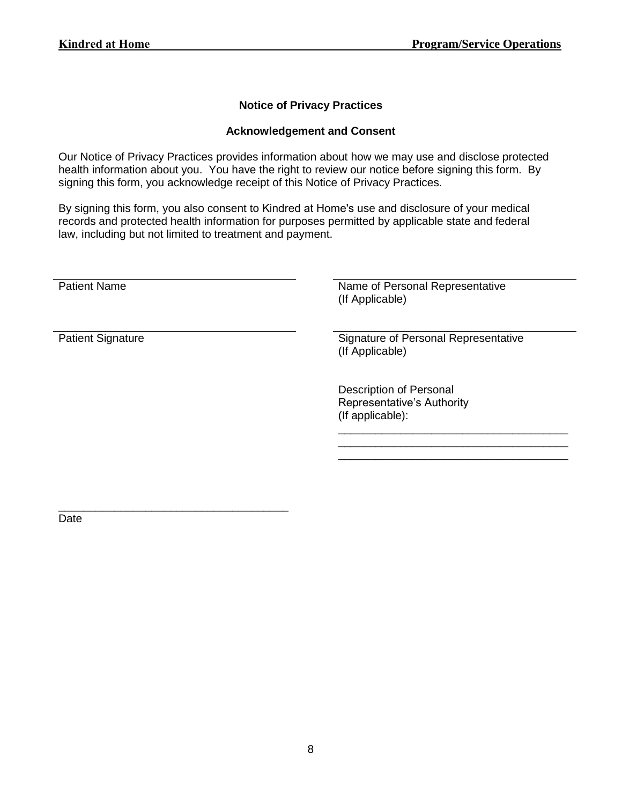## **Notice of Privacy Practices**

#### **Acknowledgement and Consent**

Our Notice of Privacy Practices provides information about how we may use and disclose protected health information about you. You have the right to review our notice before signing this form. By signing this form, you acknowledge receipt of this Notice of Privacy Practices.

By signing this form, you also consent to Kindred at Home's use and disclosure of your medical records and protected health information for purposes permitted by applicable state and federal law, including but not limited to treatment and payment.

| <b>Patient Name</b>      | Name of Personal Representative<br>(If Applicable)                               |
|--------------------------|----------------------------------------------------------------------------------|
| <b>Patient Signature</b> | Signature of Personal Representative<br>(If Applicable)                          |
|                          | <b>Description of Personal</b><br>Representative's Authority<br>(If applicable): |

\_\_\_\_\_\_\_\_\_\_\_\_\_\_\_\_\_\_\_\_\_\_\_\_\_\_\_\_\_\_\_\_\_\_\_\_\_ Date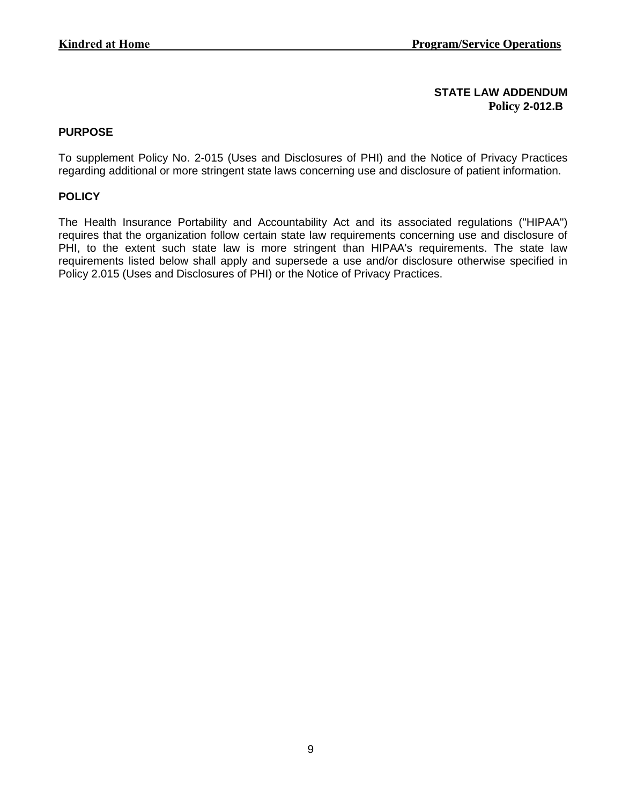## **STATE LAW ADDENDUM Policy 2-012.B**

### **PURPOSE**

To supplement Policy No. 2-015 (Uses and Disclosures of PHI) and the Notice of Privacy Practices regarding additional or more stringent state laws concerning use and disclosure of patient information.

### **POLICY**

The Health Insurance Portability and Accountability Act and its associated regulations ("HIPAA") requires that the organization follow certain state law requirements concerning use and disclosure of PHI, to the extent such state law is more stringent than HIPAA's requirements. The state law requirements listed below shall apply and supersede a use and/or disclosure otherwise specified in Policy 2.015 (Uses and Disclosures of PHI) or the Notice of Privacy Practices.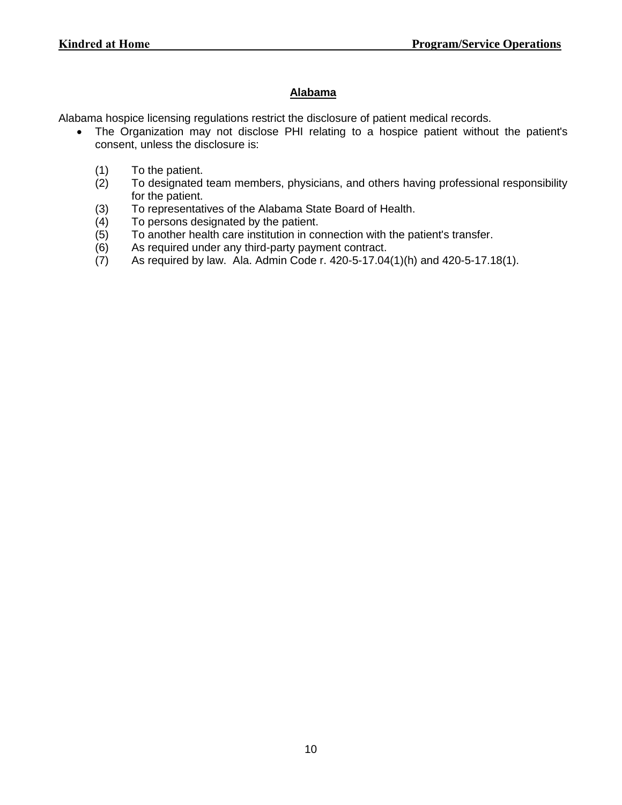# **Alabama**

Alabama hospice licensing regulations restrict the disclosure of patient medical records.

- The Organization may not disclose PHI relating to a hospice patient without the patient's consent, unless the disclosure is:
	-
	- (1) To the patient.<br>(2) To designated To designated team members, physicians, and others having professional responsibility for the patient.
	- (3) To representatives of the Alabama State Board of Health.
	- (4) To persons designated by the patient.
	- (5) To another health care institution in connection with the patient's transfer.
	- (6) As required under any third-party payment contract.
	- (7) As required by law. Ala. Admin Code r. 420-5-17.04(1)(h) and 420-5-17.18(1).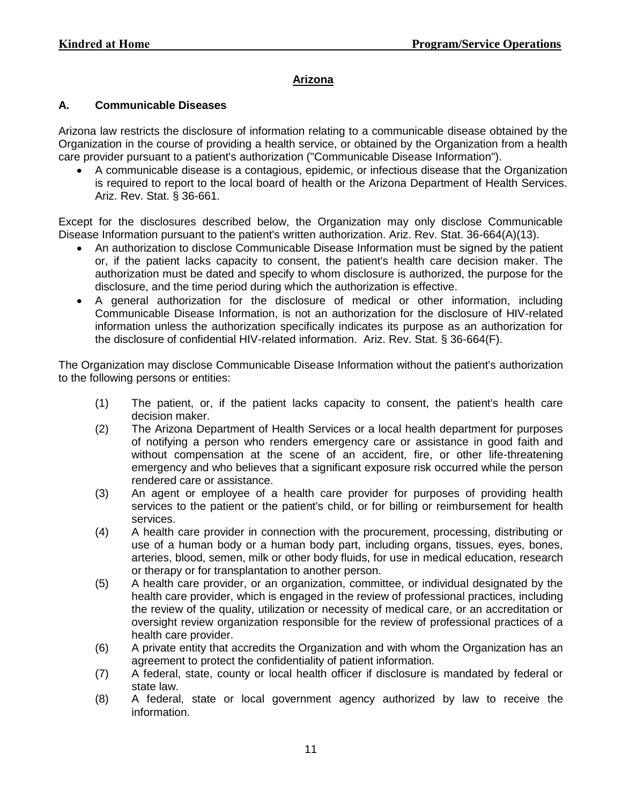#### **Arizona**

#### **A. Communicable Diseases**

Arizona law restricts the disclosure of information relating to a communicable disease obtained by the Organization in the course of providing a health service, or obtained by the Organization from a health care provider pursuant to a patient's authorization ("Communicable Disease Information").

 A communicable disease is a contagious, epidemic, or infectious disease that the Organization is required to report to the local board of health or the Arizona Department of Health Services. Ariz. Rev. Stat. § 36-661.

Except for the disclosures described below, the Organization may only disclose Communicable Disease Information pursuant to the patient's written authorization. Ariz. Rev. Stat. 36-664(A)(13).

- An authorization to disclose Communicable Disease Information must be signed by the patient or, if the patient lacks capacity to consent, the patient's health care decision maker. The authorization must be dated and specify to whom disclosure is authorized, the purpose for the disclosure, and the time period during which the authorization is effective.
- A general authorization for the disclosure of medical or other information, including Communicable Disease Information, is not an authorization for the disclosure of HIV-related information unless the authorization specifically indicates its purpose as an authorization for the disclosure of confidential HIV-related information. Ariz. Rev. Stat. § 36-664(F).

The Organization may disclose Communicable Disease Information without the patient's authorization to the following persons or entities:

- (1) The patient, or, if the patient lacks capacity to consent, the patient's health care decision maker.
- (2) The Arizona Department of Health Services or a local health department for purposes of notifying a person who renders emergency care or assistance in good faith and without compensation at the scene of an accident, fire, or other life-threatening emergency and who believes that a significant exposure risk occurred while the person rendered care or assistance.
- (3) An agent or employee of a health care provider for purposes of providing health services to the patient or the patient's child, or for billing or reimbursement for health services.
- (4) A health care provider in connection with the procurement, processing, distributing or use of a human body or a human body part, including organs, tissues, eyes, bones, arteries, blood, semen, milk or other body fluids, for use in medical education, research or therapy or for transplantation to another person.
- (5) A health care provider, or an organization, committee, or individual designated by the health care provider, which is engaged in the review of professional practices, including the review of the quality, utilization or necessity of medical care, or an accreditation or oversight review organization responsible for the review of professional practices of a health care provider.
- (6) A private entity that accredits the Organization and with whom the Organization has an agreement to protect the confidentiality of patient information.
- (7) A federal, state, county or local health officer if disclosure is mandated by federal or state law.
- (8) A federal, state or local government agency authorized by law to receive the information.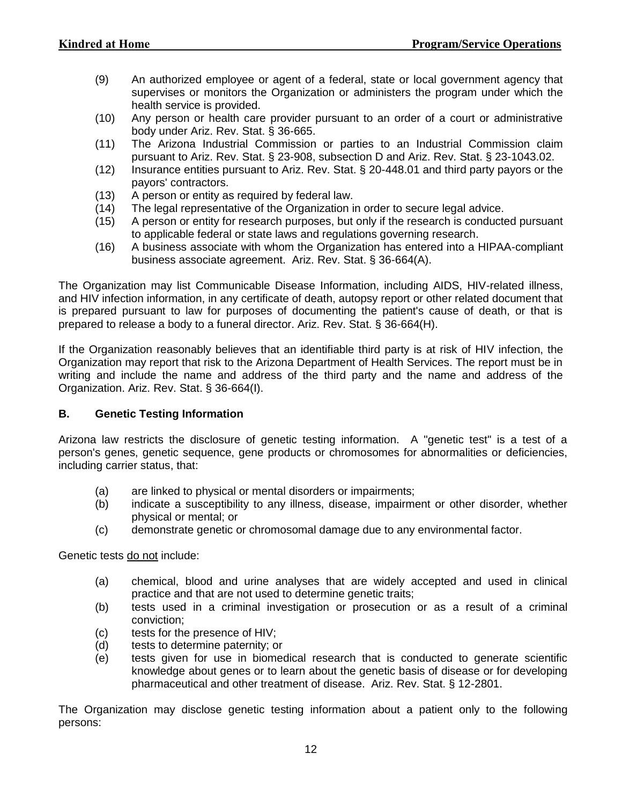- (9) An authorized employee or agent of a federal, state or local government agency that supervises or monitors the Organization or administers the program under which the health service is provided.
- (10) Any person or health care provider pursuant to an order of a court or administrative body under Ariz. Rev. Stat. § 36-665.
- (11) The Arizona Industrial Commission or parties to an Industrial Commission claim pursuant to Ariz. Rev. Stat. § 23-908, subsection D and Ariz. Rev. Stat. § 23-1043.02.
- (12) Insurance entities pursuant to Ariz. Rev. Stat. § 20-448.01 and third party payors or the payors' contractors.
- (13) A person or entity as required by federal law.
- (14) The legal representative of the Organization in order to secure legal advice.
- (15) A person or entity for research purposes, but only if the research is conducted pursuant to applicable federal or state laws and regulations governing research.
- (16) A business associate with whom the Organization has entered into a HIPAA-compliant business associate agreement. Ariz. Rev. Stat. § 36-664(A).

The Organization may list Communicable Disease Information, including AIDS, HIV-related illness, and HIV infection information, in any certificate of death, autopsy report or other related document that is prepared pursuant to law for purposes of documenting the patient's cause of death, or that is prepared to release a body to a funeral director. Ariz. Rev. Stat. § 36-664(H).

If the Organization reasonably believes that an identifiable third party is at risk of HIV infection, the Organization may report that risk to the Arizona Department of Health Services. The report must be in writing and include the name and address of the third party and the name and address of the Organization. Ariz. Rev. Stat. § 36-664(I).

#### **B. Genetic Testing Information**

Arizona law restricts the disclosure of genetic testing information. A "genetic test" is a test of a person's genes, genetic sequence, gene products or chromosomes for abnormalities or deficiencies, including carrier status, that:

- (a) are linked to physical or mental disorders or impairments;
- (b) indicate a susceptibility to any illness, disease, impairment or other disorder, whether physical or mental; or
- (c) demonstrate genetic or chromosomal damage due to any environmental factor.

Genetic tests do not include:

- (a) chemical, blood and urine analyses that are widely accepted and used in clinical practice and that are not used to determine genetic traits;
- (b) tests used in a criminal investigation or prosecution or as a result of a criminal conviction;
- (c) tests for the presence of HIV;
- (d) tests to determine paternity; or
- (e) tests given for use in biomedical research that is conducted to generate scientific knowledge about genes or to learn about the genetic basis of disease or for developing pharmaceutical and other treatment of disease. Ariz. Rev. Stat. § 12-2801.

The Organization may disclose genetic testing information about a patient only to the following persons: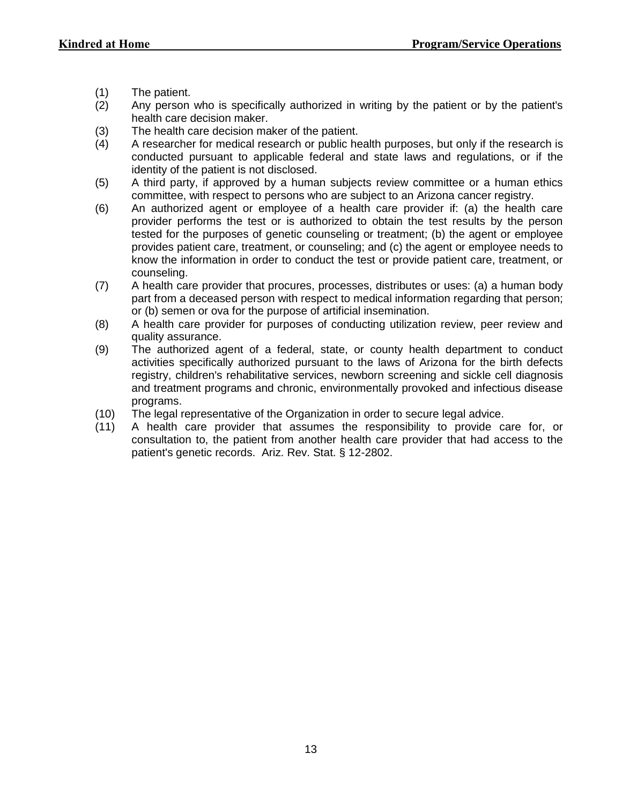- (1) The patient.
- (2) Any person who is specifically authorized in writing by the patient or by the patient's health care decision maker.
- (3) The health care decision maker of the patient.
- (4) A researcher for medical research or public health purposes, but only if the research is conducted pursuant to applicable federal and state laws and regulations, or if the identity of the patient is not disclosed.
- (5) A third party, if approved by a human subjects review committee or a human ethics committee, with respect to persons who are subject to an Arizona cancer registry.
- (6) An authorized agent or employee of a health care provider if: (a) the health care provider performs the test or is authorized to obtain the test results by the person tested for the purposes of genetic counseling or treatment; (b) the agent or employee provides patient care, treatment, or counseling; and (c) the agent or employee needs to know the information in order to conduct the test or provide patient care, treatment, or counseling.
- (7) A health care provider that procures, processes, distributes or uses: (a) a human body part from a deceased person with respect to medical information regarding that person; or (b) semen or ova for the purpose of artificial insemination.
- (8) A health care provider for purposes of conducting utilization review, peer review and quality assurance.
- (9) The authorized agent of a federal, state, or county health department to conduct activities specifically authorized pursuant to the laws of Arizona for the birth defects registry, children's rehabilitative services, newborn screening and sickle cell diagnosis and treatment programs and chronic, environmentally provoked and infectious disease programs.
- (10) The legal representative of the Organization in order to secure legal advice.
- (11) A health care provider that assumes the responsibility to provide care for, or consultation to, the patient from another health care provider that had access to the patient's genetic records. Ariz. Rev. Stat. § 12-2802.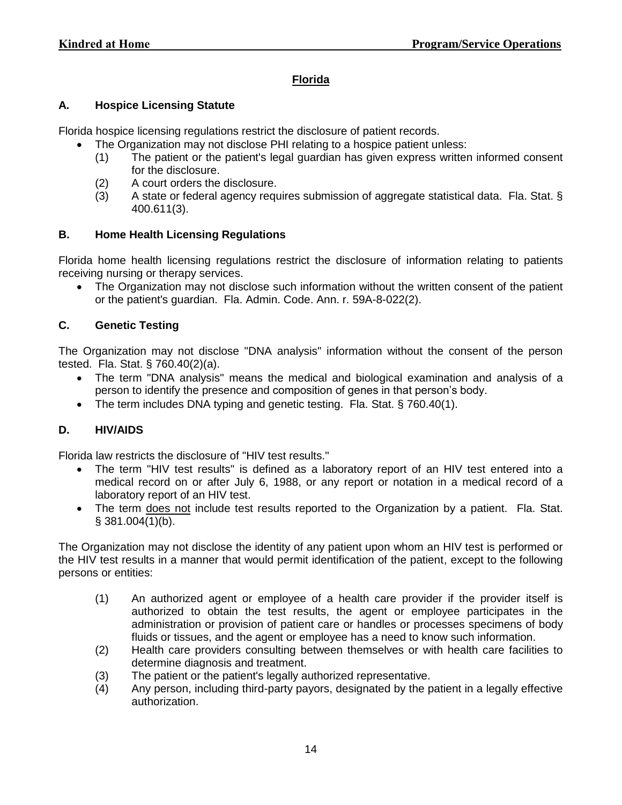## **Florida**

## **A. Hospice Licensing Statute**

Florida hospice licensing regulations restrict the disclosure of patient records.

- The Organization may not disclose PHI relating to a hospice patient unless:
	- (1) The patient or the patient's legal guardian has given express written informed consent for the disclosure.
	- (2) A court orders the disclosure.
	- (3) A state or federal agency requires submission of aggregate statistical data. Fla. Stat. § 400.611(3).

## **B. Home Health Licensing Regulations**

Florida home health licensing regulations restrict the disclosure of information relating to patients receiving nursing or therapy services.

• The Organization may not disclose such information without the written consent of the patient or the patient's guardian. Fla. Admin. Code. Ann. r. 59A-8-022(2).

## **C. Genetic Testing**

The Organization may not disclose "DNA analysis" information without the consent of the person tested. Fla. Stat. § 760.40(2)(a).

- The term "DNA analysis" means the medical and biological examination and analysis of a person to identify the presence and composition of genes in that person's body.
- The term includes DNA typing and genetic testing. Fla. Stat. § 760.40(1).

## **D. HIV/AIDS**

Florida law restricts the disclosure of "HIV test results."

- The term "HIV test results" is defined as a laboratory report of an HIV test entered into a medical record on or after July 6, 1988, or any report or notation in a medical record of a laboratory report of an HIV test.
- The term does not include test results reported to the Organization by a patient. Fla. Stat.  $§$  381.004(1)(b).

The Organization may not disclose the identity of any patient upon whom an HIV test is performed or the HIV test results in a manner that would permit identification of the patient, except to the following persons or entities:

- (1) An authorized agent or employee of a health care provider if the provider itself is authorized to obtain the test results, the agent or employee participates in the administration or provision of patient care or handles or processes specimens of body fluids or tissues, and the agent or employee has a need to know such information.
- (2) Health care providers consulting between themselves or with health care facilities to determine diagnosis and treatment.
- (3) The patient or the patient's legally authorized representative.
- (4) Any person, including third-party payors, designated by the patient in a legally effective authorization.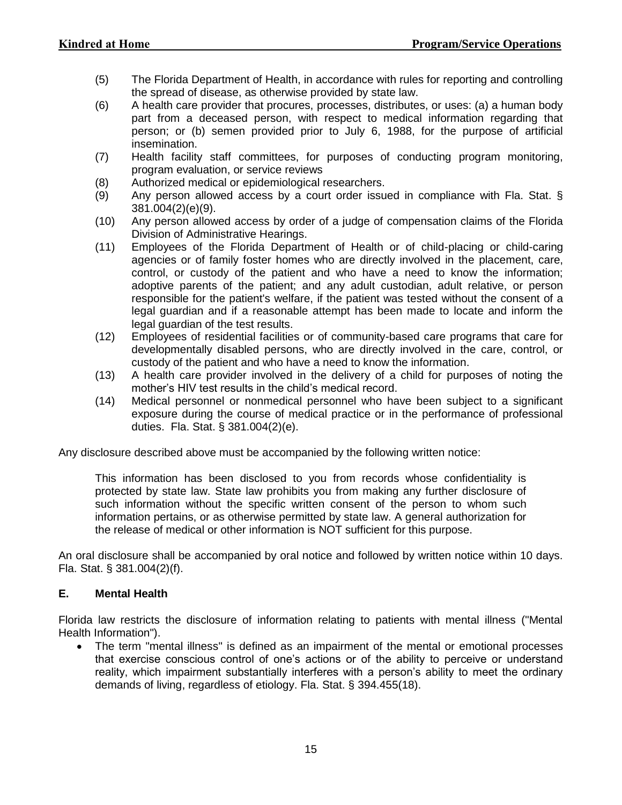- (5) The Florida Department of Health, in accordance with rules for reporting and controlling the spread of disease, as otherwise provided by state law.
- (6) A health care provider that procures, processes, distributes, or uses: (a) a human body part from a deceased person, with respect to medical information regarding that person; or (b) semen provided prior to July 6, 1988, for the purpose of artificial insemination.
- (7) Health facility staff committees, for purposes of conducting program monitoring, program evaluation, or service reviews
- (8) Authorized medical or epidemiological researchers.
- (9) Any person allowed access by a court order issued in compliance with Fla. Stat. § 381.004(2)(e)(9).
- (10) Any person allowed access by order of a judge of compensation claims of the Florida Division of Administrative Hearings.
- (11) Employees of the Florida Department of Health or of child-placing or child-caring agencies or of family foster homes who are directly involved in the placement, care, control, or custody of the patient and who have a need to know the information; adoptive parents of the patient; and any adult custodian, adult relative, or person responsible for the patient's welfare, if the patient was tested without the consent of a legal guardian and if a reasonable attempt has been made to locate and inform the legal guardian of the test results.
- (12) Employees of residential facilities or of community-based care programs that care for developmentally disabled persons, who are directly involved in the care, control, or custody of the patient and who have a need to know the information.
- (13) A health care provider involved in the delivery of a child for purposes of noting the mother's HIV test results in the child's medical record.
- (14) Medical personnel or nonmedical personnel who have been subject to a significant exposure during the course of medical practice or in the performance of professional duties. Fla. Stat. § 381.004(2)(e).

Any disclosure described above must be accompanied by the following written notice:

This information has been disclosed to you from records whose confidentiality is protected by state law. State law prohibits you from making any further disclosure of such information without the specific written consent of the person to whom such information pertains, or as otherwise permitted by state law. A general authorization for the release of medical or other information is NOT sufficient for this purpose.

An oral disclosure shall be accompanied by oral notice and followed by written notice within 10 days. Fla. Stat. § 381.004(2)(f).

#### **E. Mental Health**

Florida law restricts the disclosure of information relating to patients with mental illness ("Mental Health Information").

 The term "mental illness" is defined as an impairment of the mental or emotional processes that exercise conscious control of one's actions or of the ability to perceive or understand reality, which impairment substantially interferes with a person's ability to meet the ordinary demands of living, regardless of etiology. Fla. Stat. § 394.455(18).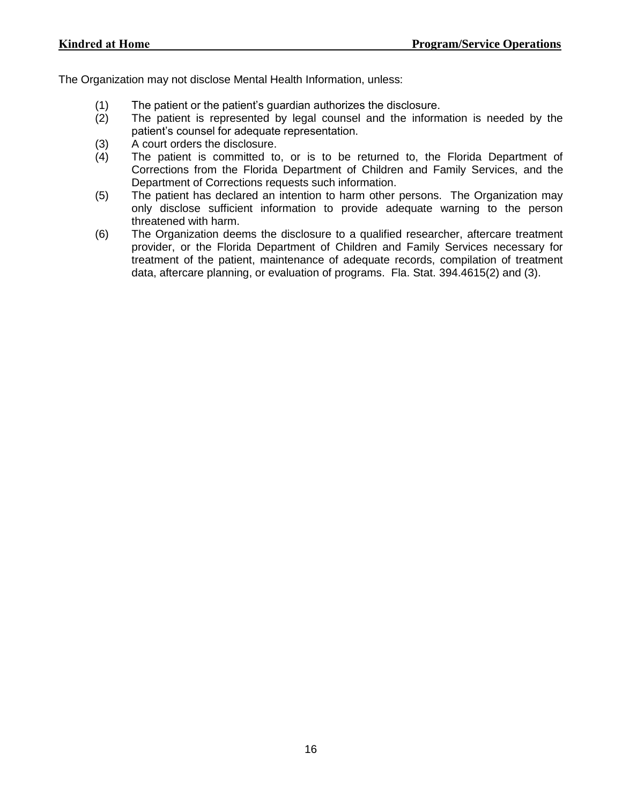The Organization may not disclose Mental Health Information, unless:

- (1) The patient or the patient's guardian authorizes the disclosure.
- (2) The patient is represented by legal counsel and the information is needed by the patient's counsel for adequate representation.
- (3) A court orders the disclosure.
- (4) The patient is committed to, or is to be returned to, the Florida Department of Corrections from the Florida Department of Children and Family Services, and the Department of Corrections requests such information.
- (5) The patient has declared an intention to harm other persons. The Organization may only disclose sufficient information to provide adequate warning to the person threatened with harm.
- (6) The Organization deems the disclosure to a qualified researcher, aftercare treatment provider, or the Florida Department of Children and Family Services necessary for treatment of the patient, maintenance of adequate records, compilation of treatment data, aftercare planning, or evaluation of programs. Fla. Stat. 394.4615(2) and (3).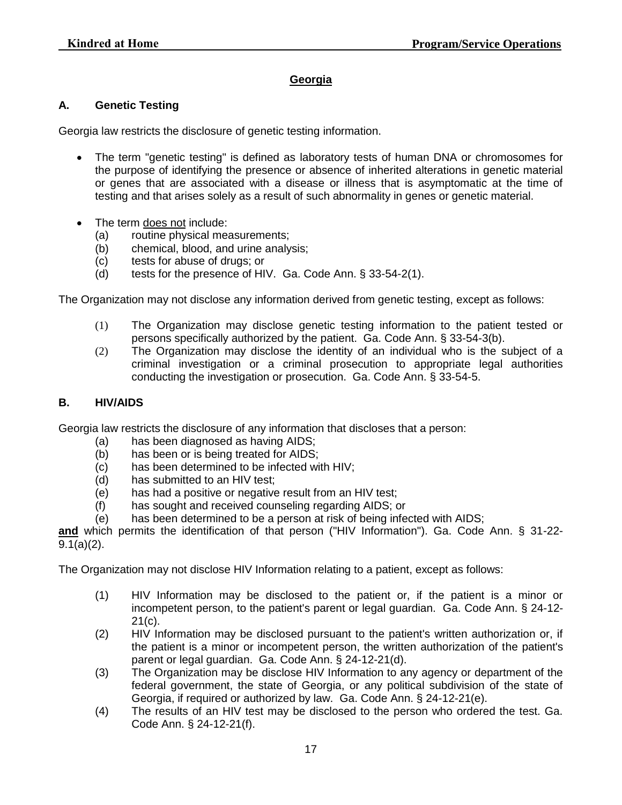## **Georgia**

#### **A. Genetic Testing**

Georgia law restricts the disclosure of genetic testing information.

- The term "genetic testing" is defined as laboratory tests of human DNA or chromosomes for the purpose of identifying the presence or absence of inherited alterations in genetic material or genes that are associated with a disease or illness that is asymptomatic at the time of testing and that arises solely as a result of such abnormality in genes or genetic material.
- The term does not include:
	- (a) routine physical measurements;
	- (b) chemical, blood, and urine analysis;
	- (c) tests for abuse of drugs; or
	- (d) tests for the presence of HIV. Ga. Code Ann. § 33-54-2(1).

The Organization may not disclose any information derived from genetic testing, except as follows:

- (1) The Organization may disclose genetic testing information to the patient tested or persons specifically authorized by the patient. Ga. Code Ann. § 33-54-3(b).
- (2) The Organization may disclose the identity of an individual who is the subject of a criminal investigation or a criminal prosecution to appropriate legal authorities conducting the investigation or prosecution. Ga. Code Ann. § 33-54-5.

#### **B. HIV/AIDS**

Georgia law restricts the disclosure of any information that discloses that a person:

- (a) has been diagnosed as having AIDS;
- (b) has been or is being treated for AIDS;
- (c) has been determined to be infected with HIV;
- (d) has submitted to an HIV test;
- (e) has had a positive or negative result from an HIV test;
- (f) has sought and received counseling regarding AIDS; or

(e) has been determined to be a person at risk of being infected with AIDS;

**and** which permits the identification of that person ("HIV Information"). Ga. Code Ann. § 31-22-  $9.1(a)(2)$ .

The Organization may not disclose HIV Information relating to a patient, except as follows:

- (1) HIV Information may be disclosed to the patient or, if the patient is a minor or incompetent person, to the patient's parent or legal guardian. Ga. Code Ann. § 24-12- 21(c).
- (2) HIV Information may be disclosed pursuant to the patient's written authorization or, if the patient is a minor or incompetent person, the written authorization of the patient's parent or legal guardian. Ga. Code Ann. § 24-12-21(d).
- (3) The Organization may be disclose HIV Information to any agency or department of the federal government, the state of Georgia, or any political subdivision of the state of Georgia, if required or authorized by law. Ga. Code Ann. § 24-12-21(e).
- (4) The results of an HIV test may be disclosed to the person who ordered the test. Ga. Code Ann. § 24-12-21(f).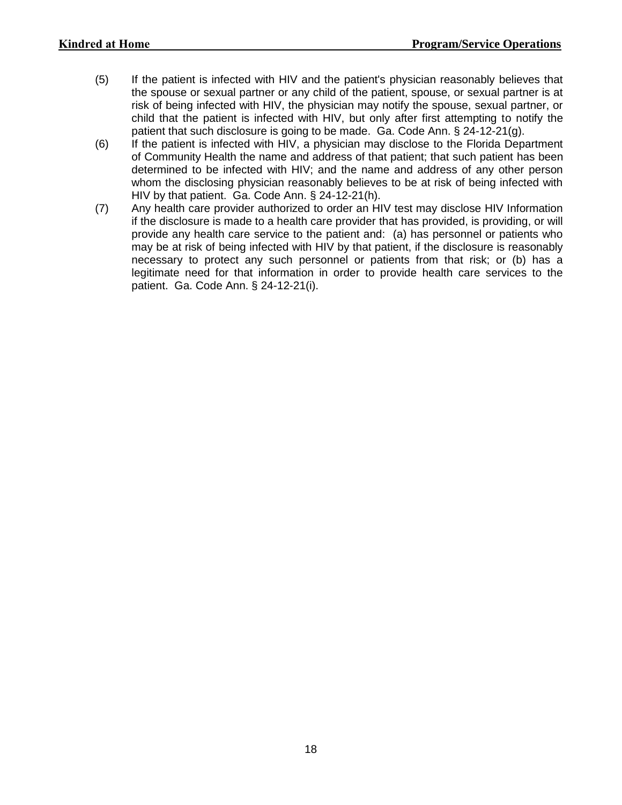- (5) If the patient is infected with HIV and the patient's physician reasonably believes that the spouse or sexual partner or any child of the patient, spouse, or sexual partner is at risk of being infected with HIV, the physician may notify the spouse, sexual partner, or child that the patient is infected with HIV, but only after first attempting to notify the patient that such disclosure is going to be made. Ga. Code Ann. § 24-12-21(g).
- (6) If the patient is infected with HIV, a physician may disclose to the Florida Department of Community Health the name and address of that patient; that such patient has been determined to be infected with HIV; and the name and address of any other person whom the disclosing physician reasonably believes to be at risk of being infected with HIV by that patient. Ga. Code Ann. § 24-12-21(h).
- (7) Any health care provider authorized to order an HIV test may disclose HIV Information if the disclosure is made to a health care provider that has provided, is providing, or will provide any health care service to the patient and: (a) has personnel or patients who may be at risk of being infected with HIV by that patient, if the disclosure is reasonably necessary to protect any such personnel or patients from that risk; or (b) has a legitimate need for that information in order to provide health care services to the patient. Ga. Code Ann. § 24-12-21(i).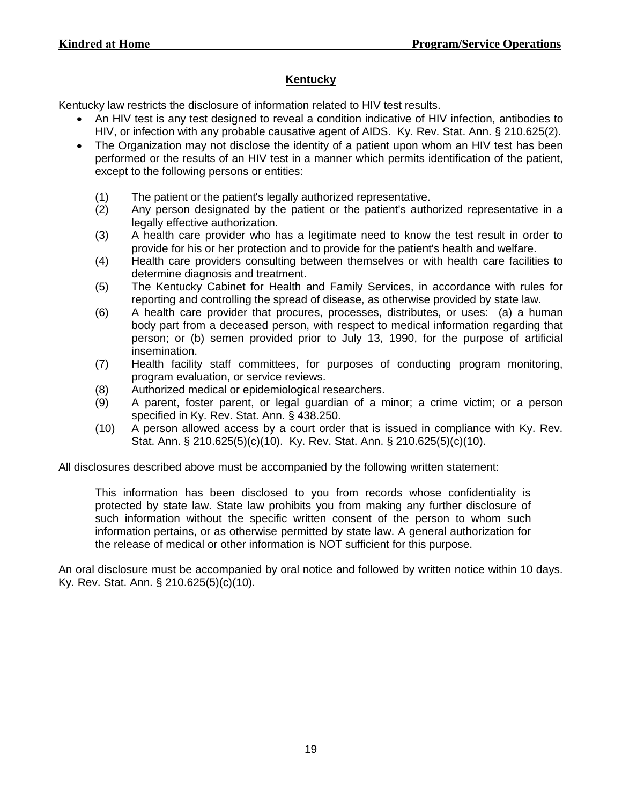## **Kentucky**

Kentucky law restricts the disclosure of information related to HIV test results.

- An HIV test is any test designed to reveal a condition indicative of HIV infection, antibodies to HIV, or infection with any probable causative agent of AIDS. Ky. Rev. Stat. Ann. § 210.625(2).
- The Organization may not disclose the identity of a patient upon whom an HIV test has been performed or the results of an HIV test in a manner which permits identification of the patient, except to the following persons or entities:
	- (1) The patient or the patient's legally authorized representative.
	- (2) Any person designated by the patient or the patient's authorized representative in a legally effective authorization.
	- (3) A health care provider who has a legitimate need to know the test result in order to provide for his or her protection and to provide for the patient's health and welfare.
	- (4) Health care providers consulting between themselves or with health care facilities to determine diagnosis and treatment.
	- (5) The Kentucky Cabinet for Health and Family Services, in accordance with rules for reporting and controlling the spread of disease, as otherwise provided by state law.
	- (6) A health care provider that procures, processes, distributes, or uses: (a) a human body part from a deceased person, with respect to medical information regarding that person; or (b) semen provided prior to July 13, 1990, for the purpose of artificial insemination.
	- (7) Health facility staff committees, for purposes of conducting program monitoring, program evaluation, or service reviews.
	- (8) Authorized medical or epidemiological researchers.
	- (9) A parent, foster parent, or legal guardian of a minor; a crime victim; or a person specified in Ky. Rev. Stat. Ann. § 438.250.
	- (10) A person allowed access by a court order that is issued in compliance with Ky. Rev. Stat. Ann. § 210.625(5)(c)(10). Ky. Rev. Stat. Ann. § 210.625(5)(c)(10).

All disclosures described above must be accompanied by the following written statement:

This information has been disclosed to you from records whose confidentiality is protected by state law. State law prohibits you from making any further disclosure of such information without the specific written consent of the person to whom such information pertains, or as otherwise permitted by state law. A general authorization for the release of medical or other information is NOT sufficient for this purpose.

An oral disclosure must be accompanied by oral notice and followed by written notice within 10 days. Ky. Rev. Stat. Ann. § 210.625(5)(c)(10).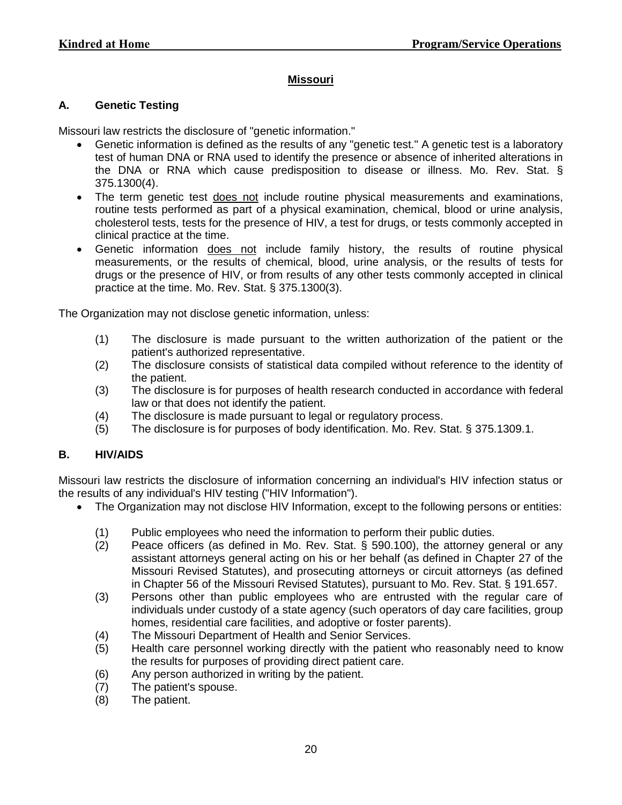## **Missouri**

### **A. Genetic Testing**

Missouri law restricts the disclosure of "genetic information."

- Genetic information is defined as the results of any "genetic test." A genetic test is a laboratory test of human DNA or RNA used to identify the presence or absence of inherited alterations in the DNA or RNA which cause predisposition to disease or illness. Mo. Rev. Stat. § 375.1300(4).
- The term genetic test does not include routine physical measurements and examinations, routine tests performed as part of a physical examination, chemical, blood or urine analysis, cholesterol tests, tests for the presence of HIV, a test for drugs, or tests commonly accepted in clinical practice at the time.
- Genetic information does not include family history, the results of routine physical measurements, or the results of chemical, blood, urine analysis, or the results of tests for drugs or the presence of HIV, or from results of any other tests commonly accepted in clinical practice at the time. Mo. Rev. Stat. § 375.1300(3).

The Organization may not disclose genetic information, unless:

- (1) The disclosure is made pursuant to the written authorization of the patient or the patient's authorized representative.
- (2) The disclosure consists of statistical data compiled without reference to the identity of the patient.
- (3) The disclosure is for purposes of health research conducted in accordance with federal law or that does not identify the patient.
- (4) The disclosure is made pursuant to legal or regulatory process.
- (5) The disclosure is for purposes of body identification. Mo. Rev. Stat. § 375.1309.1.

## **B. HIV/AIDS**

Missouri law restricts the disclosure of information concerning an individual's HIV infection status or the results of any individual's HIV testing ("HIV Information").

- The Organization may not disclose HIV Information, except to the following persons or entities:
	- (1) Public employees who need the information to perform their public duties.
	- (2) Peace officers (as defined in Mo. Rev. Stat. § 590.100), the attorney general or any assistant attorneys general acting on his or her behalf (as defined in Chapter 27 of the Missouri Revised Statutes), and prosecuting attorneys or circuit attorneys (as defined in Chapter 56 of the Missouri Revised Statutes), pursuant to Mo. Rev. Stat. § 191.657.
	- (3) Persons other than public employees who are entrusted with the regular care of individuals under custody of a state agency (such operators of day care facilities, group homes, residential care facilities, and adoptive or foster parents).
	- (4) The Missouri Department of Health and Senior Services.
	- (5) Health care personnel working directly with the patient who reasonably need to know the results for purposes of providing direct patient care.
	- (6) Any person authorized in writing by the patient.
	- (7) The patient's spouse.<br>(8) The patient.
	- The patient.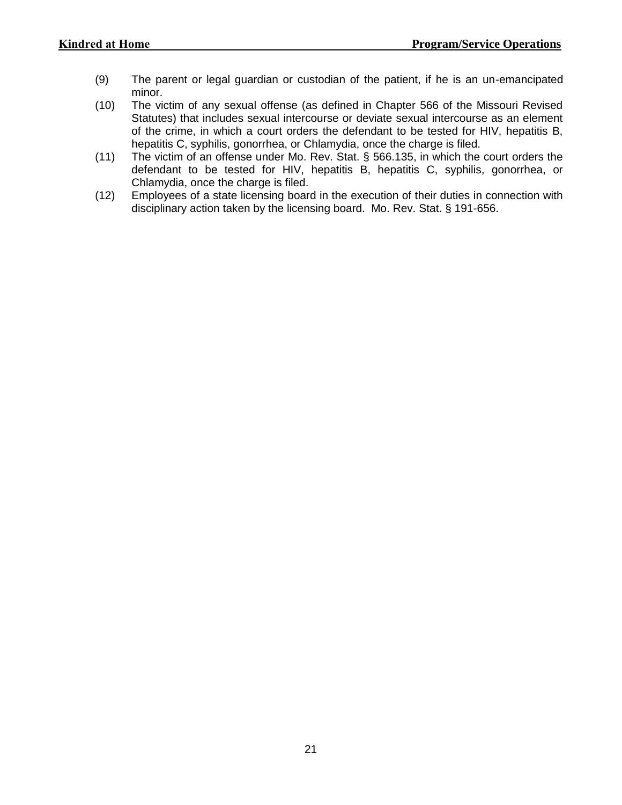- (9) The parent or legal guardian or custodian of the patient, if he is an un-emancipated minor.
- (10) The victim of any sexual offense (as defined in Chapter 566 of the Missouri Revised Statutes) that includes sexual intercourse or deviate sexual intercourse as an element of the crime, in which a court orders the defendant to be tested for HIV, hepatitis B, hepatitis C, syphilis, gonorrhea, or Chlamydia, once the charge is filed.
- (11) The victim of an offense under Mo. Rev. Stat. § 566.135, in which the court orders the defendant to be tested for HIV, hepatitis B, hepatitis C, syphilis, gonorrhea, or Chlamydia, once the charge is filed.
- (12) Employees of a state licensing board in the execution of their duties in connection with disciplinary action taken by the licensing board. Mo. Rev. Stat. § 191-656.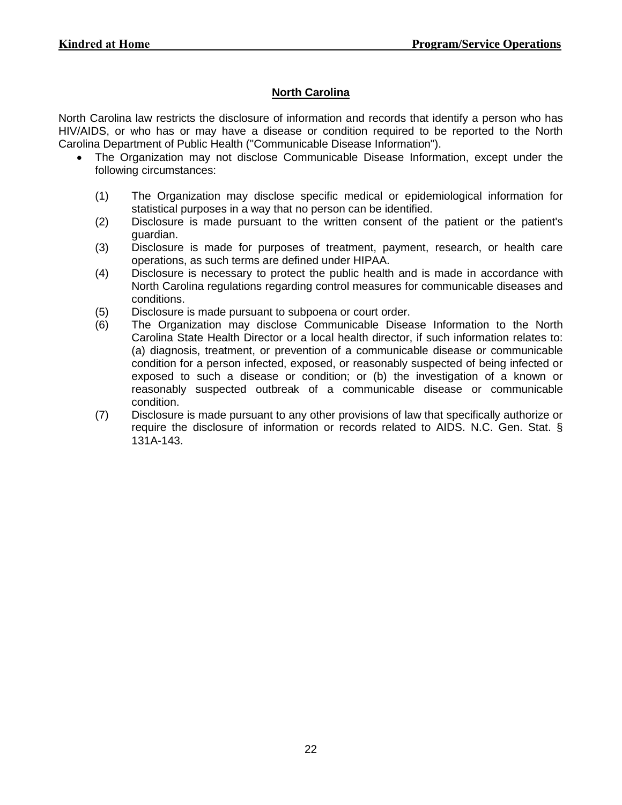## **North Carolina**

North Carolina law restricts the disclosure of information and records that identify a person who has HIV/AIDS, or who has or may have a disease or condition required to be reported to the North Carolina Department of Public Health ("Communicable Disease Information").

- The Organization may not disclose Communicable Disease Information, except under the following circumstances:
	- (1) The Organization may disclose specific medical or epidemiological information for statistical purposes in a way that no person can be identified.
	- (2) Disclosure is made pursuant to the written consent of the patient or the patient's guardian.
	- (3) Disclosure is made for purposes of treatment, payment, research, or health care operations, as such terms are defined under HIPAA.
	- (4) Disclosure is necessary to protect the public health and is made in accordance with North Carolina regulations regarding control measures for communicable diseases and conditions.
	- (5) Disclosure is made pursuant to subpoena or court order.
	- (6) The Organization may disclose Communicable Disease Information to the North Carolina State Health Director or a local health director, if such information relates to: (a) diagnosis, treatment, or prevention of a communicable disease or communicable condition for a person infected, exposed, or reasonably suspected of being infected or exposed to such a disease or condition; or (b) the investigation of a known or reasonably suspected outbreak of a communicable disease or communicable condition.
	- (7) Disclosure is made pursuant to any other provisions of law that specifically authorize or require the disclosure of information or records related to AIDS. N.C. Gen. Stat. § 131A-143.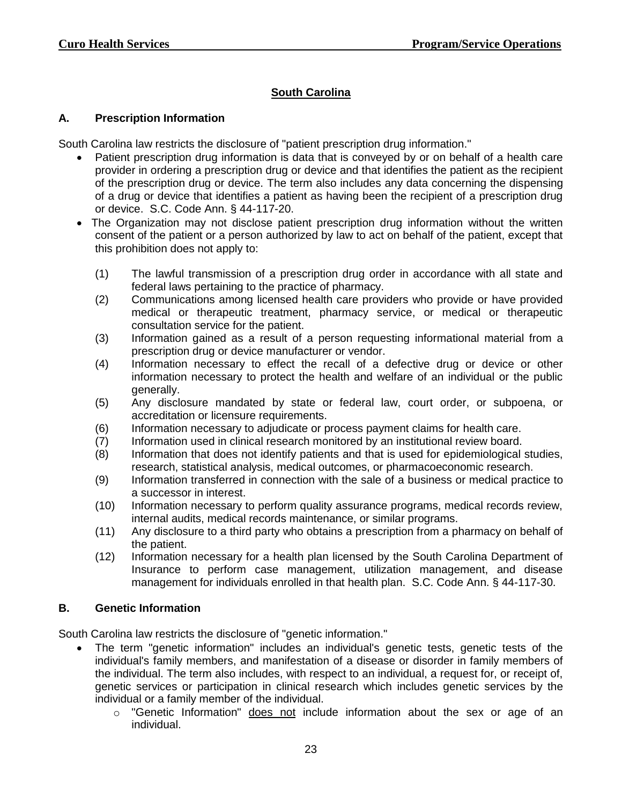# **South Carolina**

### **A. Prescription Information**

South Carolina law restricts the disclosure of "patient prescription drug information."

- Patient prescription drug information is data that is conveyed by or on behalf of a health care provider in ordering a prescription drug or device and that identifies the patient as the recipient of the prescription drug or device. The term also includes any data concerning the dispensing of a drug or device that identifies a patient as having been the recipient of a prescription drug or device. S.C. Code Ann. § 44-117-20.
- The Organization may not disclose patient prescription drug information without the written consent of the patient or a person authorized by law to act on behalf of the patient, except that this prohibition does not apply to:
	- (1) The lawful transmission of a prescription drug order in accordance with all state and federal laws pertaining to the practice of pharmacy.
	- (2) Communications among licensed health care providers who provide or have provided medical or therapeutic treatment, pharmacy service, or medical or therapeutic consultation service for the patient.
	- (3) Information gained as a result of a person requesting informational material from a prescription drug or device manufacturer or vendor.
	- (4) Information necessary to effect the recall of a defective drug or device or other information necessary to protect the health and welfare of an individual or the public generally.
	- (5) Any disclosure mandated by state or federal law, court order, or subpoena, or accreditation or licensure requirements.
	- (6) Information necessary to adjudicate or process payment claims for health care.
	- (7) Information used in clinical research monitored by an institutional review board.
	- (8) Information that does not identify patients and that is used for epidemiological studies, research, statistical analysis, medical outcomes, or pharmacoeconomic research.
	- (9) Information transferred in connection with the sale of a business or medical practice to a successor in interest.
	- (10) Information necessary to perform quality assurance programs, medical records review, internal audits, medical records maintenance, or similar programs.
	- (11) Any disclosure to a third party who obtains a prescription from a pharmacy on behalf of the patient.
	- (12) Information necessary for a health plan licensed by the South Carolina Department of Insurance to perform case management, utilization management, and disease management for individuals enrolled in that health plan. S.C. Code Ann. § 44-117-30.

#### **B. Genetic Information**

South Carolina law restricts the disclosure of "genetic information."

- The term "genetic information" includes an individual's genetic tests, genetic tests of the individual's family members, and manifestation of a disease or disorder in family members of the individual. The term also includes, with respect to an individual, a request for, or receipt of, genetic services or participation in clinical research which includes genetic services by the individual or a family member of the individual.
	- $\circ$  "Genetic Information" does not include information about the sex or age of an individual.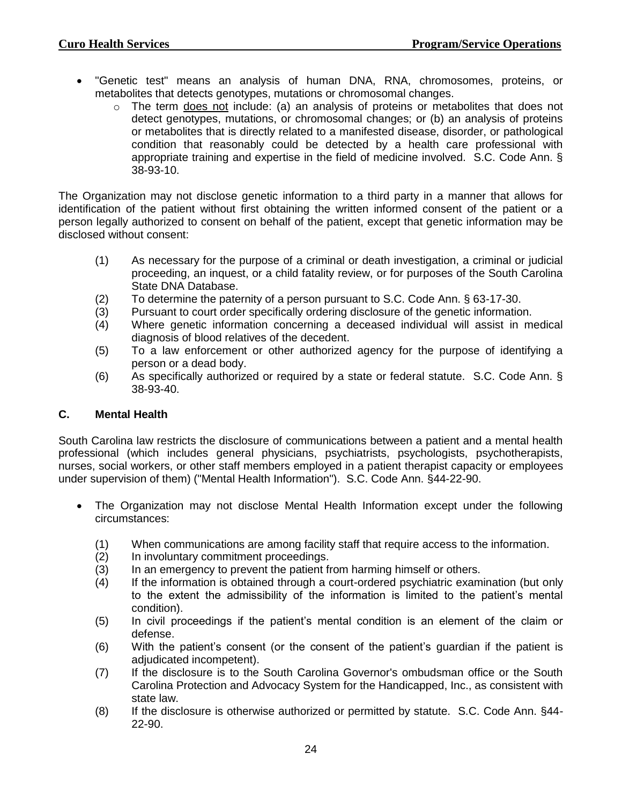- "Genetic test" means an analysis of human DNA, RNA, chromosomes, proteins, or metabolites that detects genotypes, mutations or chromosomal changes.
	- o The term does not include: (a) an analysis of proteins or metabolites that does not detect genotypes, mutations, or chromosomal changes; or (b) an analysis of proteins or metabolites that is directly related to a manifested disease, disorder, or pathological condition that reasonably could be detected by a health care professional with appropriate training and expertise in the field of medicine involved. S.C. Code Ann. § 38-93-10.

The Organization may not disclose genetic information to a third party in a manner that allows for identification of the patient without first obtaining the written informed consent of the patient or a person legally authorized to consent on behalf of the patient, except that genetic information may be disclosed without consent:

- (1) As necessary for the purpose of a criminal or death investigation, a criminal or judicial proceeding, an inquest, or a child fatality review, or for purposes of the South Carolina State DNA Database.
- (2) To determine the paternity of a person pursuant to S.C. Code Ann. § 63-17-30.
- (3) Pursuant to court order specifically ordering disclosure of the genetic information.
- (4) Where genetic information concerning a deceased individual will assist in medical diagnosis of blood relatives of the decedent.
- (5) To a law enforcement or other authorized agency for the purpose of identifying a person or a dead body.
- (6) As specifically authorized or required by a state or federal statute. S.C. Code Ann. § 38-93-40.

## **C. Mental Health**

South Carolina law restricts the disclosure of communications between a patient and a mental health professional (which includes general physicians, psychiatrists, psychologists, psychotherapists, nurses, social workers, or other staff members employed in a patient therapist capacity or employees under supervision of them) ("Mental Health Information"). S.C. Code Ann. §44-22-90.

- The Organization may not disclose Mental Health Information except under the following circumstances:
	- (1) When communications are among facility staff that require access to the information.
	- (2) In involuntary commitment proceedings.
	- (3) In an emergency to prevent the patient from harming himself or others.
	- (4) If the information is obtained through a court-ordered psychiatric examination (but only to the extent the admissibility of the information is limited to the patient's mental condition).
	- (5) In civil proceedings if the patient's mental condition is an element of the claim or defense.
	- (6) With the patient's consent (or the consent of the patient's guardian if the patient is adjudicated incompetent).
	- (7) If the disclosure is to the South Carolina Governor's ombudsman office or the South Carolina Protection and Advocacy System for the Handicapped, Inc., as consistent with state law.
	- (8) If the disclosure is otherwise authorized or permitted by statute. S.C. Code Ann. §44- 22-90.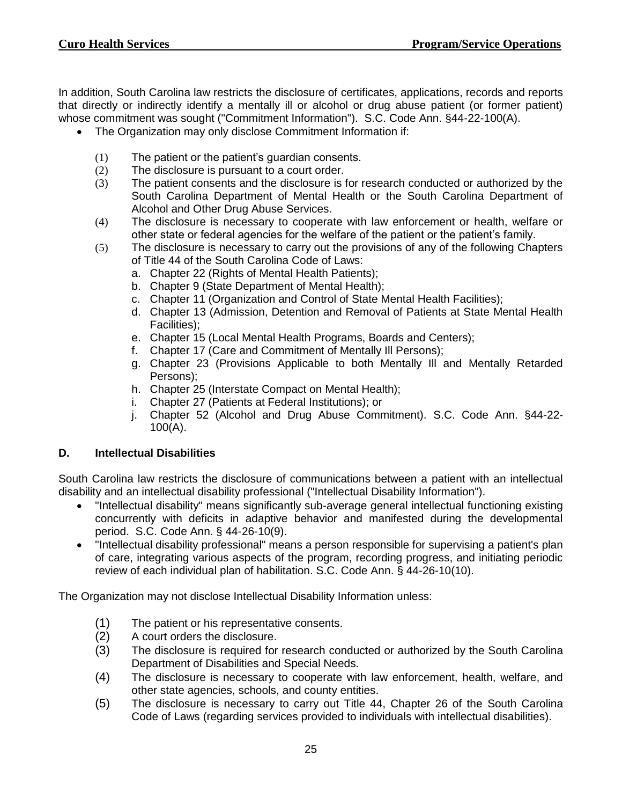In addition, South Carolina law restricts the disclosure of certificates, applications, records and reports that directly or indirectly identify a mentally ill or alcohol or drug abuse patient (or former patient) whose commitment was sought ("Commitment Information"). S.C. Code Ann. §44-22-100(A).

- The Organization may only disclose Commitment Information if:
	- (1) The patient or the patient's guardian consents.
	- (2) The disclosure is pursuant to a court order.
	- (3) The patient consents and the disclosure is for research conducted or authorized by the South Carolina Department of Mental Health or the South Carolina Department of Alcohol and Other Drug Abuse Services.
	- (4) The disclosure is necessary to cooperate with law enforcement or health, welfare or other state or federal agencies for the welfare of the patient or the patient's family.
	- (5) The disclosure is necessary to carry out the provisions of any of the following Chapters of Title 44 of the South Carolina Code of Laws:
		- a. Chapter 22 (Rights of Mental Health Patients);
		- b. Chapter 9 (State Department of Mental Health);
		- c. Chapter 11 (Organization and Control of State Mental Health Facilities);
		- d. Chapter 13 (Admission, Detention and Removal of Patients at State Mental Health Facilities);
		- e. Chapter 15 (Local Mental Health Programs, Boards and Centers);
		- f. Chapter 17 (Care and Commitment of Mentally Ill Persons);
		- g. Chapter 23 (Provisions Applicable to both Mentally Ill and Mentally Retarded Persons);
		- h. Chapter 25 (Interstate Compact on Mental Health);
		- i. Chapter 27 (Patients at Federal Institutions); or
		- j. Chapter 52 (Alcohol and Drug Abuse Commitment). S.C. Code Ann. §44-22- 100(A).

### **D. Intellectual Disabilities**

South Carolina law restricts the disclosure of communications between a patient with an intellectual disability and an intellectual disability professional ("Intellectual Disability Information").

- "Intellectual disability" means significantly sub-average general intellectual functioning existing concurrently with deficits in adaptive behavior and manifested during the developmental period. S.C. Code Ann. § 44-26-10(9).
- "Intellectual disability professional" means a person responsible for supervising a patient's plan of care, integrating various aspects of the program, recording progress, and initiating periodic review of each individual plan of habilitation. S.C. Code Ann. § 44-26-10(10).

The Organization may not disclose Intellectual Disability Information unless:

- (1) The patient or his representative consents.
- (2) A court orders the disclosure.
- (3) The disclosure is required for research conducted or authorized by the South Carolina Department of Disabilities and Special Needs.
- (4) The disclosure is necessary to cooperate with law enforcement, health, welfare, and other state agencies, schools, and county entities.
- (5) The disclosure is necessary to carry out Title 44, Chapter 26 of the South Carolina Code of Laws (regarding services provided to individuals with intellectual disabilities).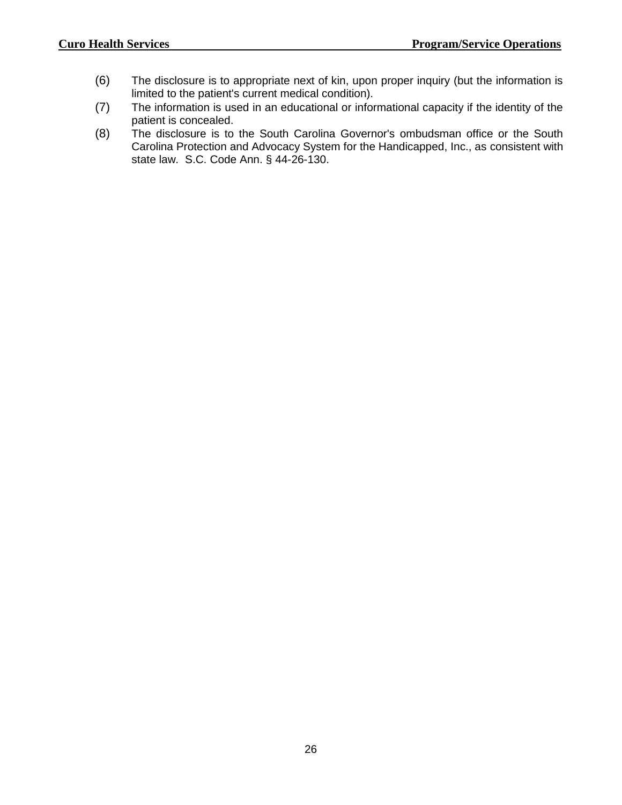- (6) The disclosure is to appropriate next of kin, upon proper inquiry (but the information is limited to the patient's current medical condition).
- (7) The information is used in an educational or informational capacity if the identity of the patient is concealed.
- (8) The disclosure is to the South Carolina Governor's ombudsman office or the South Carolina Protection and Advocacy System for the Handicapped, Inc., as consistent with state law. S.C. Code Ann. § 44-26-130.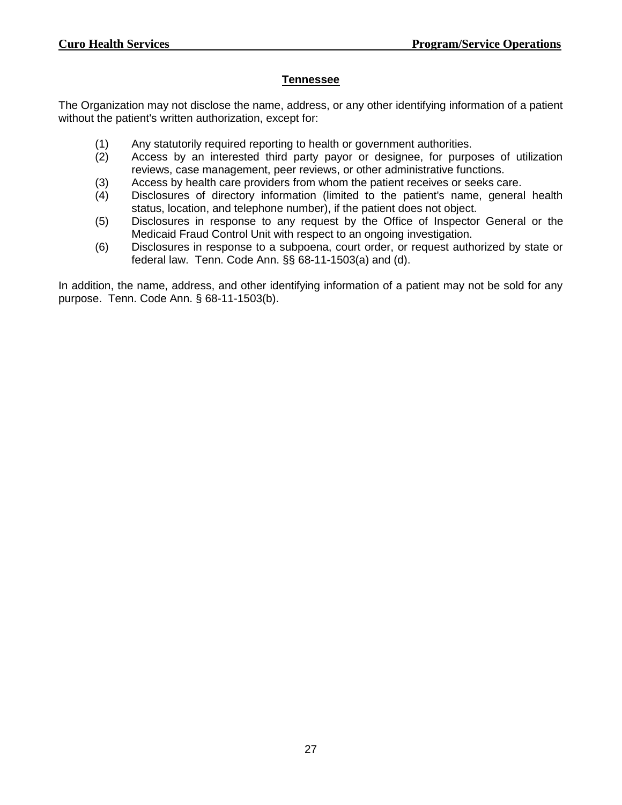#### **Tennessee**

The Organization may not disclose the name, address, or any other identifying information of a patient without the patient's written authorization, except for:

- (1) Any statutorily required reporting to health or government authorities.
- (2) Access by an interested third party payor or designee, for purposes of utilization reviews, case management, peer reviews, or other administrative functions.
- (3) Access by health care providers from whom the patient receives or seeks care.
- (4) Disclosures of directory information (limited to the patient's name, general health status, location, and telephone number), if the patient does not object.
- (5) Disclosures in response to any request by the Office of Inspector General or the Medicaid Fraud Control Unit with respect to an ongoing investigation.
- (6) Disclosures in response to a subpoena, court order, or request authorized by state or federal law. Tenn. Code Ann. §§ 68-11-1503(a) and (d).

In addition, the name, address, and other identifying information of a patient may not be sold for any purpose. Tenn. Code Ann. § 68-11-1503(b).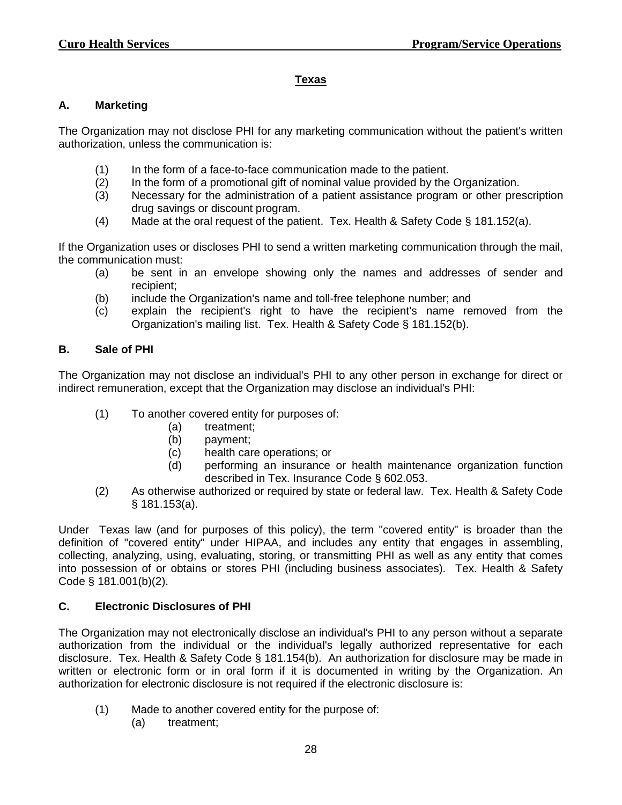### **Texas**

## **A. Marketing**

The Organization may not disclose PHI for any marketing communication without the patient's written authorization, unless the communication is:

- (1) In the form of a face-to-face communication made to the patient.
- (2) In the form of a promotional gift of nominal value provided by the Organization.
- (3) Necessary for the administration of a patient assistance program or other prescription drug savings or discount program.
- (4) Made at the oral request of the patient. Tex. Health & Safety Code § 181.152(a).

If the Organization uses or discloses PHI to send a written marketing communication through the mail, the communication must:

- (a) be sent in an envelope showing only the names and addresses of sender and recipient;
- (b) include the Organization's name and toll-free telephone number; and
- (c) explain the recipient's right to have the recipient's name removed from the Organization's mailing list. Tex. Health & Safety Code § 181.152(b).

## **B. Sale of PHI**

The Organization may not disclose an individual's PHI to any other person in exchange for direct or indirect remuneration, except that the Organization may disclose an individual's PHI:

- (1) To another covered entity for purposes of:
	- (a) treatment;
	- (b) payment;
	- (c) health care operations; or
	- (d) performing an insurance or health maintenance organization function described in Tex. Insurance Code § 602.053.
- (2) As otherwise authorized or required by state or federal law. Tex. Health & Safety Code § 181.153(a).

Under Texas law (and for purposes of this policy), the term "covered entity" is broader than the definition of "covered entity" under HIPAA, and includes any entity that engages in assembling, collecting, analyzing, using, evaluating, storing, or transmitting PHI as well as any entity that comes into possession of or obtains or stores PHI (including business associates). Tex. Health & Safety Code § 181.001(b)(2).

## **C. Electronic Disclosures of PHI**

The Organization may not electronically disclose an individual's PHI to any person without a separate authorization from the individual or the individual's legally authorized representative for each disclosure. Tex. Health & Safety Code § 181.154(b). An authorization for disclosure may be made in written or electronic form or in oral form if it is documented in writing by the Organization. An authorization for electronic disclosure is not required if the electronic disclosure is:

- (1) Made to another covered entity for the purpose of:
	- (a) treatment;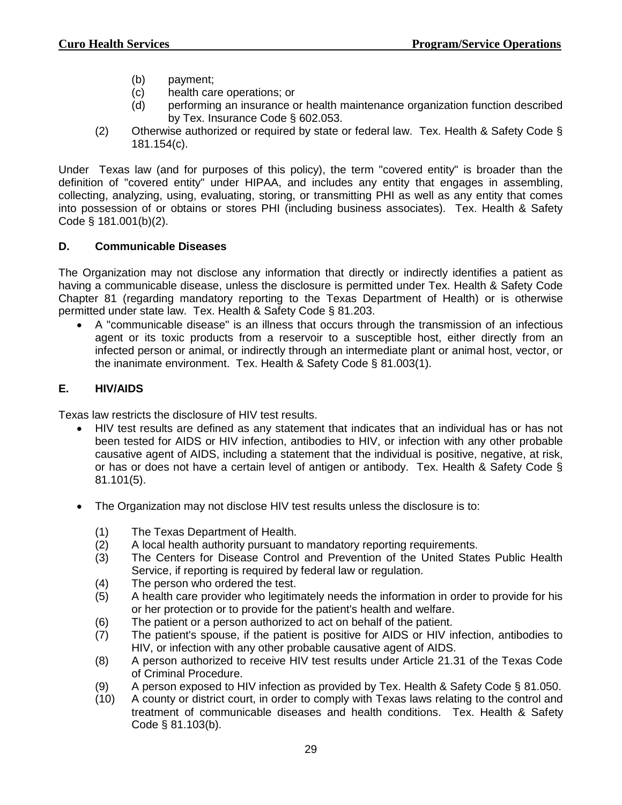- (b) payment;
- (c) health care operations; or
- (d) performing an insurance or health maintenance organization function described by Tex. Insurance Code § 602.053.
- (2) Otherwise authorized or required by state or federal law. Tex. Health & Safety Code § 181.154(c).

Under Texas law (and for purposes of this policy), the term "covered entity" is broader than the definition of "covered entity" under HIPAA, and includes any entity that engages in assembling, collecting, analyzing, using, evaluating, storing, or transmitting PHI as well as any entity that comes into possession of or obtains or stores PHI (including business associates). Tex. Health & Safety Code § 181.001(b)(2).

## **D. Communicable Diseases**

The Organization may not disclose any information that directly or indirectly identifies a patient as having a communicable disease, unless the disclosure is permitted under Tex. Health & Safety Code Chapter 81 (regarding mandatory reporting to the Texas Department of Health) or is otherwise permitted under state law. Tex. Health & Safety Code § 81.203.

 A "communicable disease" is an illness that occurs through the transmission of an infectious agent or its toxic products from a reservoir to a susceptible host, either directly from an infected person or animal, or indirectly through an intermediate plant or animal host, vector, or the inanimate environment. Tex. Health & Safety Code § 81.003(1).

# **E. HIV/AIDS**

Texas law restricts the disclosure of HIV test results.

- HIV test results are defined as any statement that indicates that an individual has or has not been tested for AIDS or HIV infection, antibodies to HIV, or infection with any other probable causative agent of AIDS, including a statement that the individual is positive, negative, at risk, or has or does not have a certain level of antigen or antibody. Tex. Health & Safety Code § 81.101(5).
- The Organization may not disclose HIV test results unless the disclosure is to:
	- (1) The Texas Department of Health.
	- (2) A local health authority pursuant to mandatory reporting requirements.
	- (3) The Centers for Disease Control and Prevention of the United States Public Health Service, if reporting is required by federal law or regulation.
	- (4) The person who ordered the test.
	- (5) A health care provider who legitimately needs the information in order to provide for his or her protection or to provide for the patient's health and welfare.
	- (6) The patient or a person authorized to act on behalf of the patient.
	- (7) The patient's spouse, if the patient is positive for AIDS or HIV infection, antibodies to HIV, or infection with any other probable causative agent of AIDS.
	- (8) A person authorized to receive HIV test results under Article 21.31 of the Texas Code of Criminal Procedure.
	- (9) A person exposed to HIV infection as provided by Tex. Health & Safety Code § 81.050.
	- (10) A county or district court, in order to comply with Texas laws relating to the control and treatment of communicable diseases and health conditions. Tex. Health & Safety Code § 81.103(b).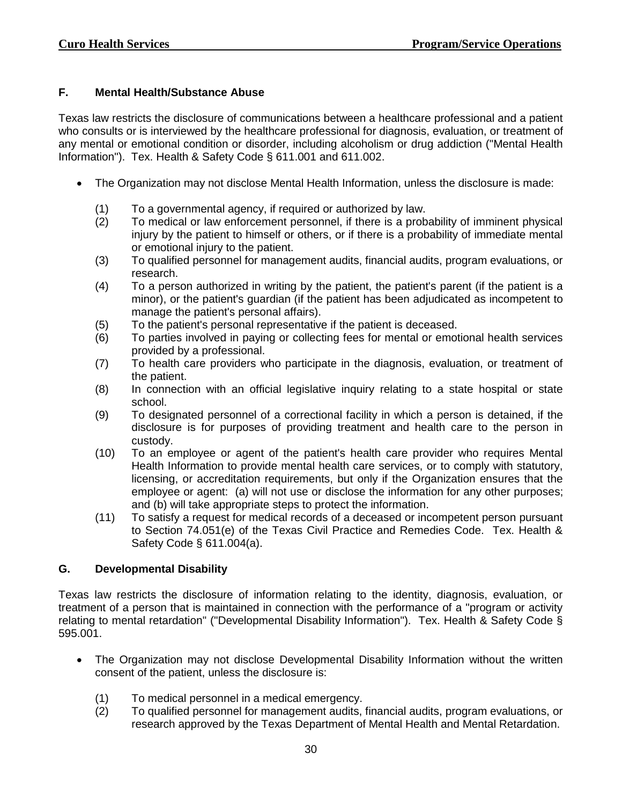## **F. Mental Health/Substance Abuse**

Texas law restricts the disclosure of communications between a healthcare professional and a patient who consults or is interviewed by the healthcare professional for diagnosis, evaluation, or treatment of any mental or emotional condition or disorder, including alcoholism or drug addiction ("Mental Health Information"). Tex. Health & Safety Code § 611.001 and 611.002.

- The Organization may not disclose Mental Health Information, unless the disclosure is made:
	- (1) To a governmental agency, if required or authorized by law.
	- (2) To medical or law enforcement personnel, if there is a probability of imminent physical injury by the patient to himself or others, or if there is a probability of immediate mental or emotional injury to the patient.
	- (3) To qualified personnel for management audits, financial audits, program evaluations, or research.
	- (4) To a person authorized in writing by the patient, the patient's parent (if the patient is a minor), or the patient's guardian (if the patient has been adjudicated as incompetent to manage the patient's personal affairs).
	- (5) To the patient's personal representative if the patient is deceased.
	- (6) To parties involved in paying or collecting fees for mental or emotional health services provided by a professional.
	- (7) To health care providers who participate in the diagnosis, evaluation, or treatment of the patient.
	- (8) In connection with an official legislative inquiry relating to a state hospital or state school.
	- (9) To designated personnel of a correctional facility in which a person is detained, if the disclosure is for purposes of providing treatment and health care to the person in custody.
	- (10) To an employee or agent of the patient's health care provider who requires Mental Health Information to provide mental health care services, or to comply with statutory, licensing, or accreditation requirements, but only if the Organization ensures that the employee or agent: (a) will not use or disclose the information for any other purposes; and (b) will take appropriate steps to protect the information.
	- (11) To satisfy a request for medical records of a deceased or incompetent person pursuant to Section 74.051(e) of the Texas Civil Practice and Remedies Code. Tex. Health & Safety Code § 611.004(a).

## **G. Developmental Disability**

Texas law restricts the disclosure of information relating to the identity, diagnosis, evaluation, or treatment of a person that is maintained in connection with the performance of a "program or activity relating to mental retardation" ("Developmental Disability Information"). Tex. Health & Safety Code § 595.001.

- The Organization may not disclose Developmental Disability Information without the written consent of the patient, unless the disclosure is:
	- (1) To medical personnel in a medical emergency.
	- (2) To qualified personnel for management audits, financial audits, program evaluations, or research approved by the Texas Department of Mental Health and Mental Retardation.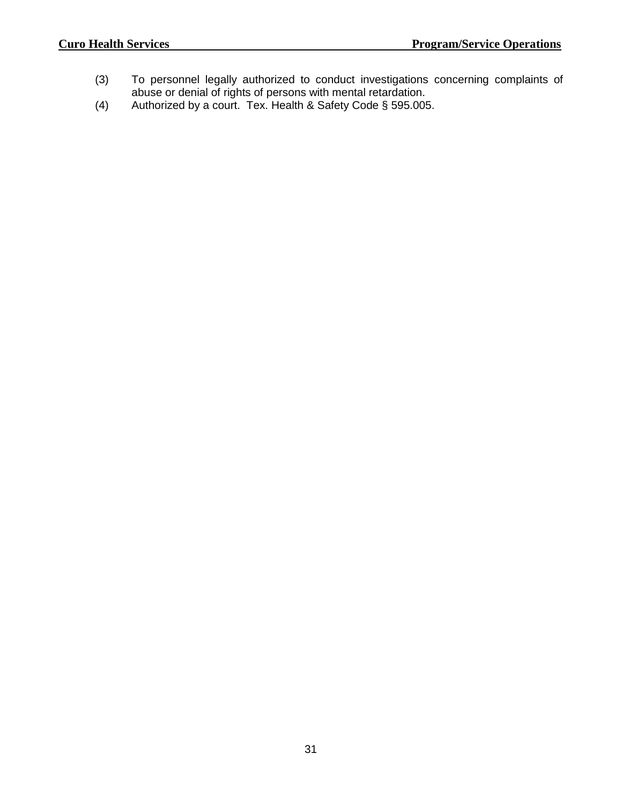- (3) To personnel legally authorized to conduct investigations concerning complaints of abuse or denial of rights of persons with mental retardation.
- (4) Authorized by a court. Tex. Health & Safety Code § 595.005.